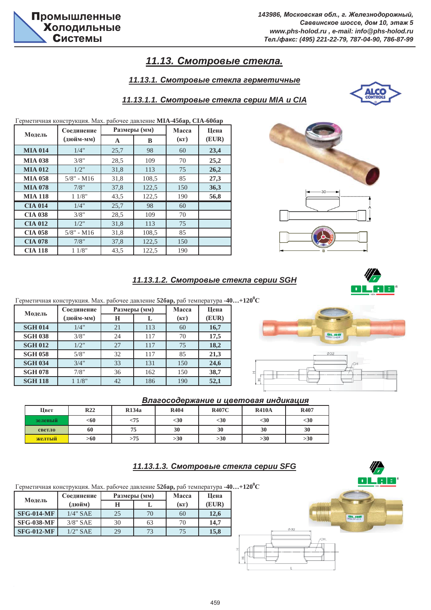# $11.13.$  Смотровые стекла.

## $11.13.1.$  Смотровые стекла герметичные



#### $11.13.1.1$ . Смотровые стекла серии МІА и СІА

Герметичная конструкция. Мах. рабочее давление МIА-45бар, СIА-60бар

|                | Соединение   |      | Размеры (мм) | Macca | Цена  |  |
|----------------|--------------|------|--------------|-------|-------|--|
| Модель         | (дюйм-мм)    | A    | B            | (KF)  | (EUR) |  |
| <b>MIA 014</b> | 1/4"         | 25,7 | 98           | 60    | 23,4  |  |
| <b>MIA 038</b> | 3/8"         | 28,5 | 109          | 70    | 25,2  |  |
| <b>MIA 012</b> | 1/2"         | 31,8 | 113          | 75    | 26,2  |  |
| <b>MIA 058</b> | $5/8"$ - M16 | 31,8 | 108,5        | 85    | 27,3  |  |
| <b>MIA 078</b> | 7/8"         | 37,8 | 122,5        | 150   | 36,3  |  |
| <b>MIA 118</b> | 11/8"        | 43,5 | 122,5        | 190   | 56,8  |  |
| <b>CIA 014</b> | 1/4"         | 25,7 | 98           | 60    |       |  |
| <b>CIA 038</b> | 3/8"         | 28,5 | 109          | 70    |       |  |
| <b>CIA 012</b> | 1/2"         | 31,8 | 113          | 75    |       |  |
| <b>CIA 058</b> | $5/8"$ - M16 | 31,8 | 108,5        | 85    |       |  |
| <b>CIA 078</b> | 7/8"         | 37,8 |              | 150   |       |  |
| <b>CIA 118</b> | 11/8"        | 43.5 | 122,5        | 190   |       |  |

**11.13.1.2. Смотровые стекла серии SGH** 



**BLAB** 

Ø32

 $\Gamma$ ерметичная конструкция. Мах. рабочее давление **52бар,** раб температура **-40…+120<sup>0</sup>C** 

| Модель         | Соединение |    | Размеры (мм) | Macca | Цена  |  |
|----------------|------------|----|--------------|-------|-------|--|
|                | (дюйм-мм)  | Н  | L            | (KF)  | (EUR) |  |
| <b>SGH 014</b> | 1/4"       | 21 | 113          | 60    | 16,7  |  |
| <b>SGH 038</b> | 3/8"       | 24 | 117          | 70    | 17,5  |  |
| <b>SGH 012</b> | 1/2"       | 27 | 117          | 75    | 18,2  |  |
| <b>SGH 058</b> | 5/8"       | 32 | 117          | 85    | 21,3  |  |
| <b>SGH 034</b> | 3/4"       | 33 | 131          | 150   | 24,6  |  |
| <b>SGH 078</b> | 7/8"       | 36 | 162          | 150   | 38,7  |  |
| <b>SGH 118</b> | 11/8"      | 42 | 186          | 190   | 52,1  |  |

#### **Влагосодержание и цветовая индикация**

| Цвет    | R <sub>22</sub> | R134a  | <b>R404</b> | <b>R407C</b> | <b>R410A</b> | <b>R407</b> |
|---------|-----------------|--------|-------------|--------------|--------------|-------------|
| зеленый | <60             | $<$ 75 | $<$ 30      | $30$         | $<$ 30       | $30$        |
| светло  | 60              | 75     | 30          | 30           | 30           | 30          |
| желтый  | >60             | >75    | >30         | >30          | >30          | >30         |

## **11.13.1.3. Смотровые стекла серии SFG**



 $\Gamma$ ерметичная конструкция. Мах. рабочее давление **52бар,** раб температура **-40…+120<sup>0</sup>C** 

| Модель            | Соединение  |    | Размеры (мм) | Macca | Цена  |  |
|-------------------|-------------|----|--------------|-------|-------|--|
|                   | (дюйм)      | н  |              | (KF)  | (EUR) |  |
| <b>SFG-014-MF</b> | $1/4$ " SAE | 25 | 70           | 60    | 12,6  |  |
| <b>SFG-038-MF</b> | $3/8$ " SAE | 30 | 63           | 70    | 14,7  |  |
| <b>SFG-012-MF</b> | $1/2$ " SAE | 29 | 73           | 75    | 15,8  |  |
|                   |             |    |              |       |       |  |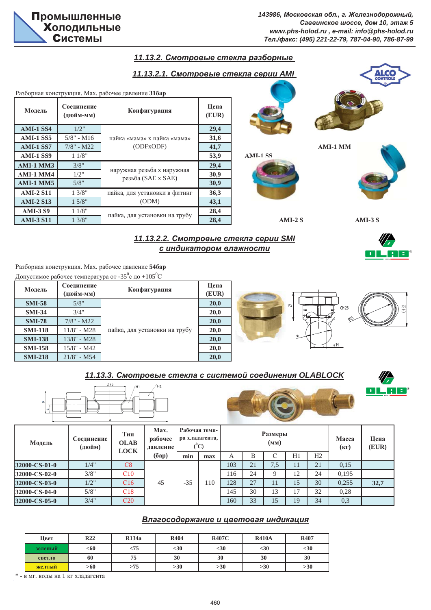OL RE



Разборная конструкция. Мах. рабочее давление 546ар Допустимое рабочее температура от -35°с до +105°С

| Модель         | Соединение<br>(дюйм-мм) | Конфигурация                  | Цена<br>(EUR) |              |
|----------------|-------------------------|-------------------------------|---------------|--------------|
| <b>SMI-58</b>  | 5/8"                    |                               | 20,0          | Z            |
| <b>SMI-34</b>  | 3/4"                    |                               | 20,0          | CH 28<br>DD. |
| <b>SMI-78</b>  | $7/8$ " - M22           |                               | 20,0          | eB.          |
| <b>SMI-118</b> | $11/8"$ - M28           | пайка, для установки на трубу | 20,0          |              |
| <b>SMI-138</b> | $13/8" - M28$           |                               | 20,0          |              |
| <b>SMI-158</b> | $15/8"$ - M42           |                               | 20,0          | ø14          |
| <b>SMI-218</b> | $21/8" - M54$           |                               | 20,0          |              |

## $11.13.3$ . Смотровые стекла с системой соединения OLABLOCK



| Модель        | Соединение<br>(дюйм) | Тип<br><b>OLAB</b><br>LOCK | Max.<br>Рабочая темп-<br>ра хладагента,<br>рабочее<br>$C^0C$<br>давление |       | Размеры<br>(MM) |     |    |                     |    | Macca<br>$(K\Gamma)$ | Цена<br>(EUR) |      |  |
|---------------|----------------------|----------------------------|--------------------------------------------------------------------------|-------|-----------------|-----|----|---------------------|----|----------------------|---------------|------|--|
|               |                      |                            | (6ap)                                                                    | min   | max             | A   | В  |                     | H1 | H2                   |               |      |  |
| 32000-CS-01-0 | 1/4"                 | C8                         |                                                                          |       |                 | 103 | 21 | $\mathbf{r}$<br>7.5 | 11 | 21                   | 0.15          |      |  |
| 32000-CS-02-0 | 3/8"                 | C10                        |                                                                          |       |                 | 116 | 24 | Q                   | 12 | 24                   | 0.195         |      |  |
| 32000-CS-03-0 | 1/2"                 | C16                        | 45                                                                       | $-35$ | $\overline{10}$ | 128 | 27 | 11                  | 15 | 30                   | 0,255         | 32,7 |  |
| 32000-CS-04-0 | 5/8"                 | C18                        |                                                                          |       |                 | 145 | 30 | 13                  | 17 | 32                   | 0,28          |      |  |
| 32000-CS-05-0 | 3/4"                 | C <sub>20</sub>            |                                                                          |       |                 | 160 | 33 | 15                  | 19 | 34                   | 0,3           |      |  |

## **Влагосодержание и цветовая индикация**

| Цвет    | R <sub>22</sub> | R <sub>134</sub> a | <b>R404</b> | <b>R407C</b> | <b>R410A</b> | R407 |
|---------|-----------------|--------------------|-------------|--------------|--------------|------|
| зеленый | <60             | -75                | $30$        | $<$ 30       | $30$         | $30$ |
| светло  | 60              | 75                 | 30          | 30           | 30           | 30   |
| желтый  | >60             | >75                | >30         | >30          | >30          | >30  |

\* - в мг. воды на 1 кг хладагента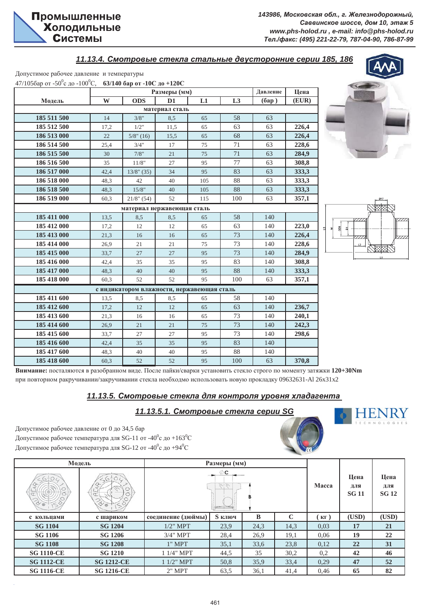*11.13.4. ɋɦɨɬɪɨɜɵɟ ɫɬɟɤɥɚ ɫɬɚɥɶɧɵɟ ɞɜɭɫɬɨɪɨɧɧɢɟ ɫɟɪɢɢ 185, 186*

Допустимое рабочее давление и температуры

| 47/1056ap от -50 <sup>°</sup> с до -100 <sup>°</sup> C, 63/140 бар от -10C до +120C |      |                                            |                |     |     |          |       |
|-------------------------------------------------------------------------------------|------|--------------------------------------------|----------------|-----|-----|----------|-------|
|                                                                                     |      |                                            | Размеры (мм)   |     |     | Давление | Цена  |
| Модель                                                                              | W    | <b>ODS</b>                                 | D1             | L1  | L3  | (6ap)    | (EUR) |
|                                                                                     |      |                                            | материал сталь |     |     |          |       |
| 185 511 500                                                                         | 14   | 3/8"                                       | 8,5            | 65  | 58  | 63       |       |
| 185 512 500                                                                         | 17,2 | 1/2"                                       | 11,5           | 65  | 63  | 63       | 226,4 |
| 186 513 000                                                                         | 22   | $5/8$ " (16)                               | 15,5           | 65  | 68  | 63       | 226,4 |
| 186 514 500                                                                         | 25,4 | 3/4"                                       | 17             | 75  | 71  | 63       | 228,6 |
| 186 515 500                                                                         | 30   | 7/8"                                       | 21             | 75  | 71  | 63       | 284,9 |
| 186 516 500                                                                         | 35   | 11/8"                                      | 27             | 95  | 77  | 63       | 308,8 |
| 186 517 000                                                                         | 42,4 | $13/8$ " (35)                              | 34             | 95  | 83  | 63       | 333,3 |
| 186 518 000                                                                         | 48,3 | 42                                         | 40             | 105 | 88  | 63       | 333,3 |
| 186 518 500                                                                         | 48,3 | 15/8"                                      | 40             | 105 | 88  | 63       | 333,3 |
| 186 519 000                                                                         | 60,3 | $21/8$ " (54)                              | 52             | 115 | 100 | 63       | 357,1 |
|                                                                                     |      | материал нержавеющая сталь                 |                |     |     |          |       |
| 185 411 000                                                                         | 13,5 | 8,5                                        | 8,5            | 65  | 58  | 140      |       |
| 185 412 000                                                                         | 17,2 | 12                                         | 12             | 65  | 63  | 140      | 223,0 |
| 185 413 000                                                                         | 21,3 | 16                                         | 16             | 65  | 73  | 140      | 226,4 |
| 185 414 000                                                                         | 26,9 | 21                                         | 21             | 75  | 73  | 140      | 228,6 |
| 185 415 000                                                                         | 33,7 | 27                                         | 27             | 95  | 73  | 140      | 284,9 |
| 185 416 000                                                                         | 42,4 | 35                                         | 35             | 95  | 83  | 140      | 308,8 |
| 185 417 000                                                                         | 48,3 | 40                                         | 40             | 95  | 88  | 140      | 333,3 |
| 185 418 000                                                                         | 60,3 | 52                                         | 52             | 95  | 100 | 63       | 357,1 |
|                                                                                     |      | с индикатором влажности, нержавеющая сталь |                |     |     |          |       |
| 185 411 600                                                                         | 13,5 | 8,5                                        | 8,5            | 65  | 58  | 140      |       |
| 185 412 600                                                                         | 17,2 | 12                                         | 12             | 65  | 63  | 140      | 236,7 |
| 185 413 600                                                                         | 21,3 | 16                                         | 16             | 65  | 73  | 140      | 240,1 |
| 185 414 600                                                                         | 26,9 | 21                                         | 21             | 75  | 73  | 140      | 242,3 |
| 185 415 600                                                                         | 33,7 | 27                                         | 27             | 95  | 73  | 140      | 298,6 |
| 185 416 600                                                                         | 42,4 | 35                                         | 35             | 95  | 83  | 140      |       |
| 185 417 600                                                                         | 48,3 | 40                                         | 40             | 95  | 88  | 140      |       |
| 185 418 600                                                                         | 60,3 | 52                                         | 52             | 95  | 100 | 63       | 370,8 |





HEI

Внимание: посталяются в разобранном виде. После пайки/сварки установить стекло строго по моменту затяжки 120+30Nm при повторном ракручивании/закручивании стекла необходмо использовать новую прокладку 09632631-Al 26x31x2

## $11.13.5.$  Смотровые стекла для контроля уровня хладагента

 $11.13.5.1$ . Смотровые стекла серии SG

Допустимое рабочее давление от 0 до 34,5 бар Допустимое рабочее температура для SG-11 от -40 $^0$ с до +163 $^0$ С Допустимое рабочее температура для SG-12 от -40<sup>0</sup>с до +94<sup>0</sup>С

|                   | Модель            |                      | Размеры (мм) |      |             |                               |                             |                             |
|-------------------|-------------------|----------------------|--------------|------|-------------|-------------------------------|-----------------------------|-----------------------------|
| $\infty$          |                   | $\emptyset$ C<br>414 |              |      |             |                               | Цена<br>для<br><b>SG 11</b> | Цена<br>ДЛЯ<br><b>SG 12</b> |
| с кольцами        | с шариком         | соединение (дюймы)   | S ключ       | B    | $\mathbf C$ | $\mathbf{K}\mathbf{\Gamma}$ ) | (USD)                       | (USD)                       |
| <b>SG 1104</b>    | <b>SG 1204</b>    | $1/2$ " MPT          | 23,9         | 24,3 | 14,3        | 0.03                          | 17                          | 21                          |
| <b>SG 1106</b>    | <b>SG 1206</b>    | $3/4$ " MPT          | 28,4         | 26,9 | 19,1        | 0,06                          | 19                          | 22                          |
| <b>SG 1108</b>    | <b>SG 1208</b>    | $1"$ MPT             | 35,1         | 33,6 | 23,8        | 0,12                          | 22                          | 31                          |
| <b>SG 1110-CE</b> | <b>SG 1210</b>    | 1 1/4" MPT           | 44,5         | 35   | 30,2        | 0,2                           | 42                          | 46                          |
| <b>SG 1112-CE</b> | <b>SG 1212-CE</b> | $11/2$ " MPT         | 50,8         | 35,9 | 33,4        | 0,29                          | 47                          | 52                          |
| <b>SG 1116-CE</b> | <b>SG 1216-CE</b> | $2"$ MPT             | 63.5         | 36,1 | 41,4        | 0,46                          | 65                          | 82                          |